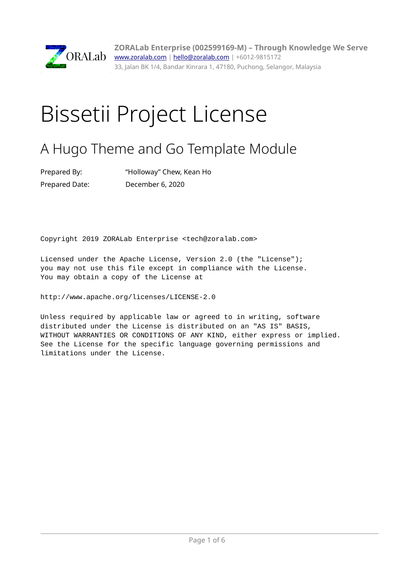

**ZORALab Enterprise (002599169-M) – Through Knowledge We Serve** ORALab [www.zoralab.com](http://www.zoralab.com/) | [hello@zoralab.com](mailto:hello@zoralab.com) | +6012-9815172 33, Jalan BK 1/4, Bandar Kinrara 1, 47180, Puchong, Selangor, Malaysia

## Bissetii Project License

## A Hugo Theme and Go Template Module

| Prepared By:   | "Holloway" Chew, Kean Ho |
|----------------|--------------------------|
| Prepared Date: | December 6, 2020         |

Copyright 2019 ZORALab Enterprise <tech@zoralab.com>

Licensed under the Apache License, Version 2.0 (the "License"); you may not use this file except in compliance with the License. You may obtain a copy of the License at

http://www.apache.org/licenses/LICENSE-2.0

Unless required by applicable law or agreed to in writing, software distributed under the License is distributed on an "AS IS" BASIS, WITHOUT WARRANTIES OR CONDITIONS OF ANY KIND, either express or implied. See the License for the specific language governing permissions and limitations under the License.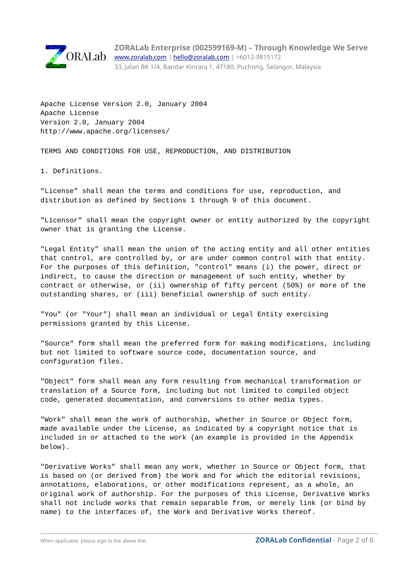

**ZORALab Enterprise (002599169-M) – Through Knowledge We Serve** [www.zoralab.com](http://www.zoralab.com/) | [hello@zoralab.com](mailto:hello@zoralab.com) | +6012-9815172 33, Jalan BK 1/4, Bandar Kinrara 1, 47180, Puchong, Selangor, Malaysia

Apache License Version 2.0, January 2004 Apache License Version 2.0, January 2004 http://www.apache.org/licenses/

TERMS AND CONDITIONS FOR USE, REPRODUCTION, AND DISTRIBUTION

1. Definitions.

"License" shall mean the terms and conditions for use, reproduction, and distribution as defined by Sections 1 through 9 of this document.

"Licensor" shall mean the copyright owner or entity authorized by the copyright owner that is granting the License.

"Legal Entity" shall mean the union of the acting entity and all other entities that control, are controlled by, or are under common control with that entity. For the purposes of this definition, "control" means (i) the power, direct or indirect, to cause the direction or management of such entity, whether by contract or otherwise, or (ii) ownership of fifty percent (50%) or more of the outstanding shares, or (iii) beneficial ownership of such entity.

"You" (or "Your") shall mean an individual or Legal Entity exercising permissions granted by this License.

"Source" form shall mean the preferred form for making modifications, including but not limited to software source code, documentation source, and configuration files.

"Object" form shall mean any form resulting from mechanical transformation or translation of a Source form, including but not limited to compiled object code, generated documentation, and conversions to other media types.

"Work" shall mean the work of authorship, whether in Source or Object form, made available under the License, as indicated by a copyright notice that is included in or attached to the work (an example is provided in the Appendix below).

"Derivative Works" shall mean any work, whether in Source or Object form, that is based on (or derived from) the Work and for which the editorial revisions, annotations, elaborations, or other modifications represent, as a whole, an original work of authorship. For the purposes of this License, Derivative Works shall not include works that remain separable from, or merely link (or bind by name) to the interfaces of, the Work and Derivative Works thereof.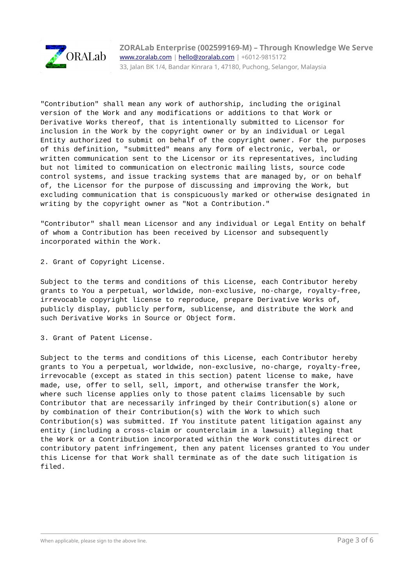

"Contribution" shall mean any work of authorship, including the original version of the Work and any modifications or additions to that Work or Derivative Works thereof, that is intentionally submitted to Licensor for inclusion in the Work by the copyright owner or by an individual or Legal Entity authorized to submit on behalf of the copyright owner. For the purposes of this definition, "submitted" means any form of electronic, verbal, or written communication sent to the Licensor or its representatives, including but not limited to communication on electronic mailing lists, source code control systems, and issue tracking systems that are managed by, or on behalf of, the Licensor for the purpose of discussing and improving the Work, but excluding communication that is conspicuously marked or otherwise designated in writing by the copyright owner as "Not a Contribution."

"Contributor" shall mean Licensor and any individual or Legal Entity on behalf of whom a Contribution has been received by Licensor and subsequently incorporated within the Work.

2. Grant of Copyright License.

Subject to the terms and conditions of this License, each Contributor hereby grants to You a perpetual, worldwide, non-exclusive, no-charge, royalty-free, irrevocable copyright license to reproduce, prepare Derivative Works of, publicly display, publicly perform, sublicense, and distribute the Work and such Derivative Works in Source or Object form.

3. Grant of Patent License.

Subject to the terms and conditions of this License, each Contributor hereby grants to You a perpetual, worldwide, non-exclusive, no-charge, royalty-free, irrevocable (except as stated in this section) patent license to make, have made, use, offer to sell, sell, import, and otherwise transfer the Work, where such license applies only to those patent claims licensable by such Contributor that are necessarily infringed by their Contribution(s) alone or by combination of their Contribution(s) with the Work to which such Contribution(s) was submitted. If You institute patent litigation against any entity (including a cross-claim or counterclaim in a lawsuit) alleging that the Work or a Contribution incorporated within the Work constitutes direct or contributory patent infringement, then any patent licenses granted to You under this License for that Work shall terminate as of the date such litigation is filed.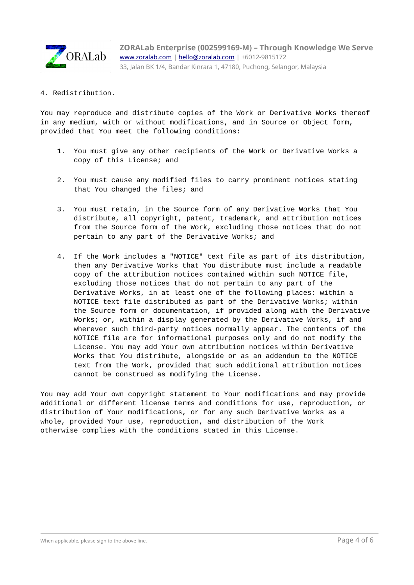

4. Redistribution.

You may reproduce and distribute copies of the Work or Derivative Works thereof in any medium, with or without modifications, and in Source or Object form, provided that You meet the following conditions:

- 1. You must give any other recipients of the Work or Derivative Works a copy of this License; and
- 2. You must cause any modified files to carry prominent notices stating that You changed the files; and
- 3. You must retain, in the Source form of any Derivative Works that You distribute, all copyright, patent, trademark, and attribution notices from the Source form of the Work, excluding those notices that do not pertain to any part of the Derivative Works; and
- 4. If the Work includes a "NOTICE" text file as part of its distribution, then any Derivative Works that You distribute must include a readable copy of the attribution notices contained within such NOTICE file, excluding those notices that do not pertain to any part of the Derivative Works, in at least one of the following places: within a NOTICE text file distributed as part of the Derivative Works; within the Source form or documentation, if provided along with the Derivative Works; or, within a display generated by the Derivative Works, if and wherever such third-party notices normally appear. The contents of the NOTICE file are for informational purposes only and do not modify the License. You may add Your own attribution notices within Derivative Works that You distribute, alongside or as an addendum to the NOTICE text from the Work, provided that such additional attribution notices cannot be construed as modifying the License.

You may add Your own copyright statement to Your modifications and may provide additional or different license terms and conditions for use, reproduction, or distribution of Your modifications, or for any such Derivative Works as a whole, provided Your use, reproduction, and distribution of the Work otherwise complies with the conditions stated in this License.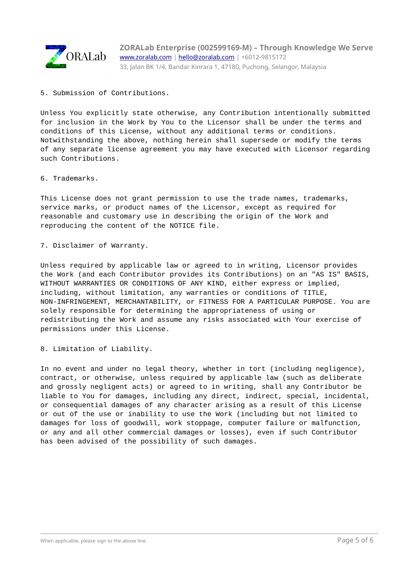

**ZORALab Enterprise (002599169-M) – Through Knowledge We Serve** [www.zoralab.com](http://www.zoralab.com/) | [hello@zoralab.com](mailto:hello@zoralab.com) | +6012-9815172 33, Jalan BK 1/4, Bandar Kinrara 1, 47180, Puchong, Selangor, Malaysia

5. Submission of Contributions.

Unless You explicitly state otherwise, any Contribution intentionally submitted for inclusion in the Work by You to the Licensor shall be under the terms and conditions of this License, without any additional terms or conditions. Notwithstanding the above, nothing herein shall supersede or modify the terms of any separate license agreement you may have executed with Licensor regarding such Contributions.

6. Trademarks.

This License does not grant permission to use the trade names, trademarks, service marks, or product names of the Licensor, except as required for reasonable and customary use in describing the origin of the Work and reproducing the content of the NOTICE file.

7. Disclaimer of Warranty.

Unless required by applicable law or agreed to in writing, Licensor provides the Work (and each Contributor provides its Contributions) on an "AS IS" BASIS, WITHOUT WARRANTIES OR CONDITIONS OF ANY KIND, either express or implied, including, without limitation, any warranties or conditions of TITLE, NON-INFRINGEMENT, MERCHANTABILITY, or FITNESS FOR A PARTICULAR PURPOSE. You are solely responsible for determining the appropriateness of using or redistributing the Work and assume any risks associated with Your exercise of permissions under this License.

8. Limitation of Liability.

In no event and under no legal theory, whether in tort (including negligence), contract, or otherwise, unless required by applicable law (such as deliberate and grossly negligent acts) or agreed to in writing, shall any Contributor be liable to You for damages, including any direct, indirect, special, incidental, or consequential damages of any character arising as a result of this License or out of the use or inability to use the Work (including but not limited to damages for loss of goodwill, work stoppage, computer failure or malfunction, or any and all other commercial damages or losses), even if such Contributor has been advised of the possibility of such damages.